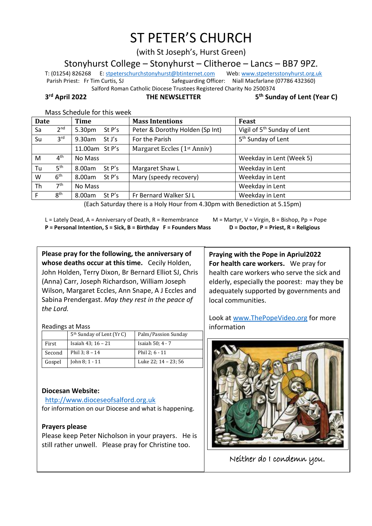# ST PETER'S CHURCH

(with St Joseph's, Hurst Green)

Stonyhurst College – Stonyhurst – Clitheroe – Lancs – BB7 9PZ.

T: (01254) 826268 E[: stpeterschurchstonyhurst@btinternet.com](mailto:stpeterschurchstonyhurst@btinternet.com) Web[: www.stpetersstonyhurst.org.uk](http://www.stpetersstonyhurst.org.uk/) Parish Priest: Fr Tim Curtis, SJ Safeguarding Officer: Niall Macfarlane (07786 432360) Salford Roman Catholic Diocese Trustees Registered Charity No 2500374

3<sup>rd</sup> April 2022

**THE NEWSLETTER** 

**th Sunday of Lent (Year C)**

| Mass Schedule for this week |                 |                |        |                                                                                                                                                                                                                                                                                                                                                                                                                                                                                                                                          |                                         |  |  |  |
|-----------------------------|-----------------|----------------|--------|------------------------------------------------------------------------------------------------------------------------------------------------------------------------------------------------------------------------------------------------------------------------------------------------------------------------------------------------------------------------------------------------------------------------------------------------------------------------------------------------------------------------------------------|-----------------------------------------|--|--|--|
| Date                        |                 | Time           |        | <b>Mass Intentions</b>                                                                                                                                                                                                                                                                                                                                                                                                                                                                                                                   | <b>Feast</b>                            |  |  |  |
| Sa                          | 2 <sup>nd</sup> | 5.30pm         | St P's | Peter & Dorothy Holden (Sp Int)                                                                                                                                                                                                                                                                                                                                                                                                                                                                                                          | Vigil of 5 <sup>th</sup> Sunday of Lent |  |  |  |
| Su                          | 3 <sup>rd</sup> | 9.30am         | St J's | For the Parish                                                                                                                                                                                                                                                                                                                                                                                                                                                                                                                           | 5 <sup>th</sup> Sunday of Lent          |  |  |  |
|                             |                 | 11.00am St P's |        | Margaret Eccles (1 <sup>st</sup> Anniv)                                                                                                                                                                                                                                                                                                                                                                                                                                                                                                  |                                         |  |  |  |
| M                           | $4^{\text{th}}$ | No Mass        |        |                                                                                                                                                                                                                                                                                                                                                                                                                                                                                                                                          | Weekday in Lent (Week 5)                |  |  |  |
| Tu                          | 5 <sup>th</sup> | 8.00am         | St P's | Margaret Shaw L                                                                                                                                                                                                                                                                                                                                                                                                                                                                                                                          | Weekday in Lent                         |  |  |  |
| W                           | 6 <sup>th</sup> | 8.00am         | St P's | Mary (speedy recovery)                                                                                                                                                                                                                                                                                                                                                                                                                                                                                                                   | Weekday in Lent                         |  |  |  |
| <b>Th</b>                   | 7 <sup>th</sup> | No Mass        |        |                                                                                                                                                                                                                                                                                                                                                                                                                                                                                                                                          | Weekday in Lent                         |  |  |  |
| F.                          | 8 <sup>th</sup> | 8.00am         | St P's | Fr Bernard Walker SJ L                                                                                                                                                                                                                                                                                                                                                                                                                                                                                                                   | Weekday in Lent                         |  |  |  |
|                             |                 |                |        | $\mathcal{L} = \mathcal{L} \times \mathcal{L} \times \mathcal{L} \times \mathcal{L} \times \mathcal{L} \times \mathcal{L} \times \mathcal{L} \times \mathcal{L} \times \mathcal{L} \times \mathcal{L} \times \mathcal{L} \times \mathcal{L} \times \mathcal{L} \times \mathcal{L} \times \mathcal{L} \times \mathcal{L} \times \mathcal{L} \times \mathcal{L} \times \mathcal{L} \times \mathcal{L} \times \mathcal{L} \times \mathcal{L} \times \mathcal{L} \times \mathcal{L} \times \mathcal{L} \times \mathcal{L} \times \mathcal{L$ | .                                       |  |  |  |

(Each Saturday there is a Holy Hour from 4.30pm with Benediction at 5.15pm)

L = Lately Dead, A = Anniversary of Death, R = Remembrance  $M =$  M = Martyr, V = Virgin, B = Bishop, Pp = Pope **P = Personal Intention, S = Sick, B = Birthday F = Founders Mass D = Doctor, P = Priest, R = Religious**

**Please pray for the following, the anniversary of whose deaths occur at this time.** Cecily Holden, John Holden, Terry Dixon, Br Bernard Elliot SJ, Chris (Anna) Carr, Joseph Richardson, William Joseph Wilson, Margaret Eccles, Ann Snape, A J Eccles and Sabina Prendergast. *May they rest in the peace of the Lord.*

Readings at Mass

|        | 5 <sup>th</sup> Sunday of Lent (Yr C) | Palm/Passion Sunday  |  |  |  |
|--------|---------------------------------------|----------------------|--|--|--|
| First  | Isaiah 43; 16 - 21                    | Isaiah 50; 4 - 7     |  |  |  |
| Second | Phil $3:8 - 14$                       | Phil $2:6 - 11$      |  |  |  |
| Gospel | John $8:1 - 11$                       | Luke 22; 14 - 23; 56 |  |  |  |

# **Diocesan Website:**

http://www.dioceseofsalford.org.uk for information on our Diocese and what is happening.

# **Prayers please**

Please keep Peter Nicholson in your prayers. He is still rather unwell. Please pray for Christine too.

**Praying with the Pope in Apriul2022 For health care workers.** We pray for health care workers who serve the sick and elderly, especially the poorest: may they be adequately supported by governments and local communities.

Look at www.ThePopeVideo.org for more information



Neither do I condemn you.  $\overline{a}$